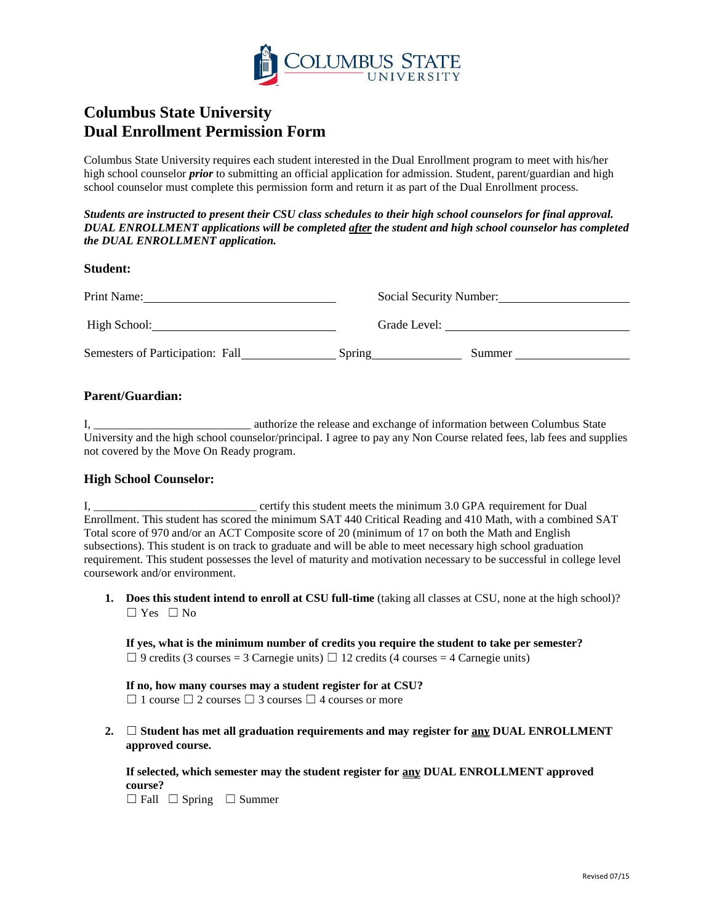

# **Columbus State University Dual Enrollment Permission Form**

Columbus State University requires each student interested in the Dual Enrollment program to meet with his/her high school counselor *prior* to submitting an official application for admission. Student, parent/guardian and high school counselor must complete this permission form and return it as part of the Dual Enrollment process.

*Students are instructed to present their CSU class schedules to their high school counselors for final approval. DUAL ENROLLMENT applications will be completed after the student and high school counselor has completed the DUAL ENROLLMENT application.*

#### **Student:**

| Print Name:                      |        | Social Security Number: |  |  |
|----------------------------------|--------|-------------------------|--|--|
| High School:                     |        | Grade Level:            |  |  |
| Semesters of Participation: Fall | Spring | Summer                  |  |  |

#### **Parent/Guardian:**

I, \_\_\_\_\_\_\_\_\_\_\_\_\_\_\_\_\_\_\_\_\_\_\_\_\_\_\_ authorize the release and exchange of information between Columbus State University and the high school counselor/principal. I agree to pay any Non Course related fees, lab fees and supplies not covered by the Move On Ready program.

#### **High School Counselor:**

I, \_\_\_\_\_\_\_\_\_\_\_\_\_\_\_\_\_\_\_\_\_\_\_\_\_\_\_\_ certify this student meets the minimum 3.0 GPA requirement for Dual Enrollment. This student has scored the minimum SAT 440 Critical Reading and 410 Math, with a combined SAT Total score of 970 and/or an ACT Composite score of 20 (minimum of 17 on both the Math and English subsections). This student is on track to graduate and will be able to meet necessary high school graduation requirement. This student possesses the level of maturity and motivation necessary to be successful in college level coursework and/or environment.

**1. Does this student intend to enroll at CSU full-time** (taking all classes at CSU, none at the high school)?  $\Box$  Yes  $\Box$  No

**If yes, what is the minimum number of credits you require the student to take per semester?**   $\Box$  9 credits (3 courses = 3 Carnegie units)  $\Box$  12 credits (4 courses = 4 Carnegie units)

**If no, how many courses may a student register for at CSU?**   $\Box$  1 course  $\Box$  2 courses  $\Box$  3 courses  $\Box$  4 courses or more

**2.** ☐ **Student has met all graduation requirements and may register for any DUAL ENROLLMENT approved course.** 

**If selected, which semester may the student register for any DUAL ENROLLMENT approved course?**

 $\Box$  Fall  $\Box$  Spring  $\Box$  Summer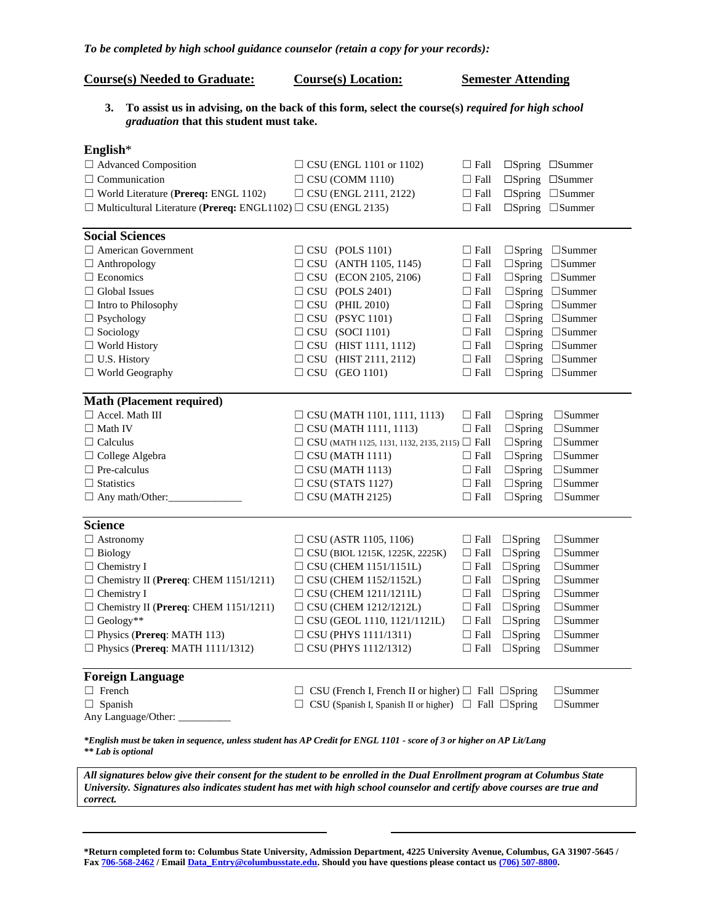## *To be completed by high school guidance counselor (retain a copy for your records):*

| <b>Course(s) Needed to Graduate:</b>                                                                                                                                                                                                               | <b>Course(s)</b> Location:                                                                        |             | <b>Semester Attending</b> |                                   |
|----------------------------------------------------------------------------------------------------------------------------------------------------------------------------------------------------------------------------------------------------|---------------------------------------------------------------------------------------------------|-------------|---------------------------|-----------------------------------|
| 3.<br>graduation that this student must take.                                                                                                                                                                                                      | To assist us in advising, on the back of this form, select the course(s) required for high school |             |                           |                                   |
| English $*$                                                                                                                                                                                                                                        |                                                                                                   |             |                           |                                   |
| $\Box$ Advanced Composition                                                                                                                                                                                                                        | $\Box$ CSU (ENGL 1101 or 1102)                                                                    | $\Box$ Fall |                           | $\Box$ Spring $\Box$ Summer       |
| $\Box$ Communication                                                                                                                                                                                                                               | $\Box$ CSU (COMM 1110)                                                                            | $\Box$ Fall |                           | $\square$ Spring $\square$ Summer |
| $\Box$ World Literature (Prereq: ENGL 1102)                                                                                                                                                                                                        | $\Box$ CSU (ENGL 2111, 2122)                                                                      | $\Box$ Fall |                           | $\square$ Spring $\square$ Summer |
| $\Box$ Multicultural Literature (Prereq: ENGL1102) $\Box$ CSU (ENGL 2135)                                                                                                                                                                          |                                                                                                   | $\Box$ Fall |                           | $\square$ Spring $\square$ Summer |
|                                                                                                                                                                                                                                                    |                                                                                                   |             |                           |                                   |
| <b>Social Sciences</b>                                                                                                                                                                                                                             |                                                                                                   |             |                           |                                   |
| $\Box$ American Government                                                                                                                                                                                                                         | $\Box$ CSU (POLS 1101)                                                                            | $\Box$ Fall |                           | $\Box$ Spring $\Box$ Summer       |
| $\Box$ Anthropology                                                                                                                                                                                                                                | $\Box$ CSU (ANTH 1105, 1145)                                                                      | $\Box$ Fall |                           | $\Box$ Spring $\Box$ Summer       |
| $\Box$ Economics                                                                                                                                                                                                                                   | $\Box$ CSU (ECON 2105, 2106)                                                                      | $\Box$ Fall |                           | $\Box$ Spring $\Box$ Summer       |
| $\Box$ Global Issues                                                                                                                                                                                                                               | $\Box$ CSU (POLS 2401)                                                                            | $\Box$ Fall |                           | $\Box$ Spring $\Box$ Summer       |
| $\Box$ Intro to Philosophy                                                                                                                                                                                                                         | $\Box$ CSU (PHIL 2010)                                                                            | $\Box$ Fall |                           | $\Box$ Spring $\Box$ Summer       |
| $\Box$ Psychology                                                                                                                                                                                                                                  | $\Box$ CSU (PSYC 1101)                                                                            | $\Box$ Fall |                           | $\square$ Spring $\square$ Summer |
| $\Box$ Sociology                                                                                                                                                                                                                                   | $\Box$ CSU (SOCI 1101)                                                                            | $\Box$ Fall |                           | $\square$ Spring $\square$ Summer |
| $\Box$ World History                                                                                                                                                                                                                               | $\Box$ CSU (HIST 1111, 1112)                                                                      | $\Box$ Fall |                           | $\square$ Spring $\square$ Summer |
| $\Box$ U.S. History                                                                                                                                                                                                                                | $\Box$ CSU (HIST 2111, 2112)                                                                      | $\Box$ Fall |                           | $\Box$ Spring $\Box$ Summer       |
| $\Box$ World Geography                                                                                                                                                                                                                             | $\Box$ CSU (GEO 1101)                                                                             | $\Box$ Fall |                           | $\square$ Spring $\square$ Summer |
| <b>Math (Placement required)</b>                                                                                                                                                                                                                   |                                                                                                   |             |                           |                                   |
| $\Box$ Accel. Math III                                                                                                                                                                                                                             | $\Box$ CSU (MATH 1101, 1111, 1113)                                                                | $\Box$ Fall | $\Box$ Spring             | $\square$ Summer                  |
| $\Box$ Math IV                                                                                                                                                                                                                                     | $\Box$ CSU (MATH 1111, 1113)                                                                      | $\Box$ Fall | $\Box$ Spring             | $\square$ Summer                  |
| $\Box$ Calculus                                                                                                                                                                                                                                    | $\Box$ CSU (MATH 1125, 1131, 1132, 2135, 2115) $\Box$ Fall                                        |             | $\Box$ Spring             | $\square$ Summer                  |
| $\Box$ College Algebra                                                                                                                                                                                                                             | $\Box$ CSU (MATH 1111)                                                                            | $\Box$ Fall | $\Box$ Spring             | $\square$ Summer                  |
| $\Box$ Pre-calculus                                                                                                                                                                                                                                | $\Box$ CSU (MATH 1113)                                                                            | $\Box$ Fall | $\square$ Spring          | $\square$ Summer                  |
| $\Box$ Statistics                                                                                                                                                                                                                                  | $\Box$ CSU (STATS 1127)                                                                           | $\Box$ Fall | $\square$ Spring          | $\square$ Summer                  |
| $\Box$ Any math/Other:                                                                                                                                                                                                                             | $\Box$ CSU (MATH 2125)                                                                            | $\Box$ Fall | $\square$ Spring          | $\square$ Summer                  |
| <b>Science</b>                                                                                                                                                                                                                                     |                                                                                                   |             |                           |                                   |
| $\Box$ Astronomy                                                                                                                                                                                                                                   | $\Box$ CSU (ASTR 1105, 1106)                                                                      | $\Box$ Fall | $\Box$ Spring             | $\square$ Summer                  |
| $\Box$ Biology                                                                                                                                                                                                                                     | $\Box$ CSU (BIOL 1215K, 1225K, 2225K)                                                             | $\Box$ Fall | $\Box$ Spring             | $\square$ Summer                  |
| $\Box$ Chemistry I                                                                                                                                                                                                                                 | $\Box$ CSU (CHEM 1151/1151L)                                                                      | $\Box$ Fall | $\square$ Spring          | $\square$ Summer                  |
| $\Box$ Chemistry II (Prereq: CHEM 1151/1211)                                                                                                                                                                                                       | $\Box$ CSU (CHEM 1152/1152L)                                                                      |             | $\Box$ Fall $\Box$ Spring | $\square$ Summer                  |
| $\Box$ Chemistry I                                                                                                                                                                                                                                 | $\Box$ CSU (CHEM 1211/1211L)                                                                      | $\Box$ Fall | $\Box$ Spring             | $\square$ Summer                  |
| $\Box$ Chemistry II (Prereq: CHEM 1151/1211)                                                                                                                                                                                                       | $\Box$ CSU (CHEM 1212/1212L)                                                                      | $\Box$ Fall | $\Box$ Spring             | $\square$ Summer                  |
| $\Box$ Geology**                                                                                                                                                                                                                                   | $\Box$ CSU (GEOL 1110, 1121/1121L)                                                                | $\Box$ Fall | $\square$ Spring          | $\square$ Summer                  |
| $\Box$ Physics (Prereq: MATH 113)                                                                                                                                                                                                                  | $\Box$ CSU (PHYS 1111/1311)                                                                       | $\Box$ Fall | $\Box$ Spring             | $\square$ Summer                  |
| $\Box$ Physics (Prereq: MATH 1111/1312)                                                                                                                                                                                                            | $\Box$ CSU (PHYS 1112/1312)                                                                       | $\Box$ Fall | $\square$ Spring          | $\square$ Summer                  |
|                                                                                                                                                                                                                                                    |                                                                                                   |             |                           |                                   |
| <b>Foreign Language</b>                                                                                                                                                                                                                            |                                                                                                   |             |                           |                                   |
| $\Box$ French                                                                                                                                                                                                                                      | $\Box$ CSU (French I, French II or higher) $\Box$ Fall $\Box$ Spring                              |             |                           | $\square$ Summer                  |
| $\Box$ Spanish                                                                                                                                                                                                                                     | $\Box$ CSU (Spanish I, Spanish II or higher) $\Box$ Fall $\Box$ Spring                            |             |                           | $\square$ Summer                  |
| Any Language/Other: _________                                                                                                                                                                                                                      |                                                                                                   |             |                           |                                   |
| *English must be taken in sequence, unless student has AP Credit for ENGL 1101 - score of 3 or higher on AP Lit/Lang<br>** Lab is optional                                                                                                         |                                                                                                   |             |                           |                                   |
| All signatures below give their consent for the student to be enrolled in the Dual Enrollment program at Columbus State<br>University. Signatures also indicates student has met with high school counselor and certify above courses are true and |                                                                                                   |             |                           |                                   |

*correct.* 

**\*Return completed form to: Columbus State University, Admission Department, 4225 University Avenue, Columbus, GA 31907-5645 / Fa[x 706-568-2462](tel:706-568-2462) / Email [Data\\_Entry@columbusstate.edu.](mailto:Data_Entry@columbusstate.edu) Should you have questions please contact us [\(706\) 507-8800](tel:%28706%29%20507-8800).**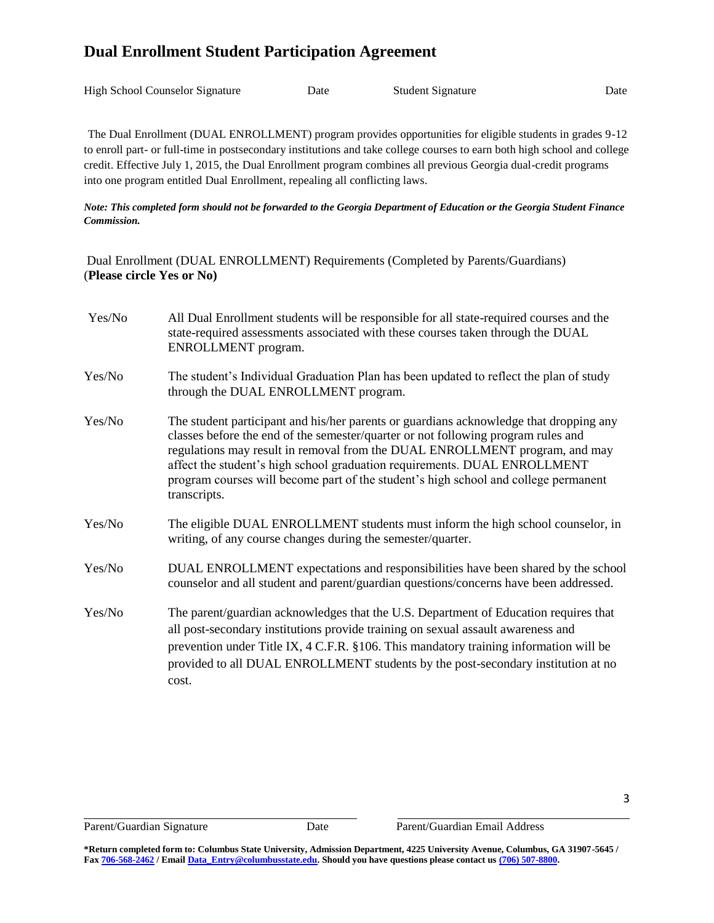# **Dual Enrollment Student Participation Agreement**

| <b>High School Counselor Signature</b> | Date | <b>Student Signature</b> | Date |
|----------------------------------------|------|--------------------------|------|
|                                        |      |                          |      |

The Dual Enrollment (DUAL ENROLLMENT) program provides opportunities for eligible students in grades 9-12 to enroll part- or full-time in postsecondary institutions and take college courses to earn both high school and college credit. Effective July 1, 2015, the Dual Enrollment program combines all previous Georgia dual-credit programs into one program entitled Dual Enrollment, repealing all conflicting laws.

## *Note: This completed form should not be forwarded to the Georgia Department of Education or the Georgia Student Finance Commission.*

Dual Enrollment (DUAL ENROLLMENT) Requirements (Completed by Parents/Guardians) (**Please circle Yes or No)**

| Yes/No | All Dual Enrollment students will be responsible for all state-required courses and the<br>state-required assessments associated with these courses taken through the DUAL<br>ENROLLMENT program.                                                                                                                                                                                                                                              |
|--------|------------------------------------------------------------------------------------------------------------------------------------------------------------------------------------------------------------------------------------------------------------------------------------------------------------------------------------------------------------------------------------------------------------------------------------------------|
| Yes/No | The student's Individual Graduation Plan has been updated to reflect the plan of study<br>through the DUAL ENROLLMENT program.                                                                                                                                                                                                                                                                                                                 |
| Yes/No | The student participant and his/her parents or guardians acknowledge that dropping any<br>classes before the end of the semester/quarter or not following program rules and<br>regulations may result in removal from the DUAL ENROLLMENT program, and may<br>affect the student's high school graduation requirements. DUAL ENROLLMENT<br>program courses will become part of the student's high school and college permanent<br>transcripts. |
| Yes/No | The eligible DUAL ENROLLMENT students must inform the high school counselor, in<br>writing, of any course changes during the semester/quarter.                                                                                                                                                                                                                                                                                                 |
| Yes/No | DUAL ENROLLMENT expectations and responsibilities have been shared by the school<br>counselor and all student and parent/guardian questions/concerns have been addressed.                                                                                                                                                                                                                                                                      |
| Yes/No | The parent/guardian acknowledges that the U.S. Department of Education requires that<br>all post-secondary institutions provide training on sexual assault awareness and<br>prevention under Title IX, 4 C.F.R. §106. This mandatory training information will be<br>provided to all DUAL ENROLLMENT students by the post-secondary institution at no<br>cost.                                                                                 |

l,